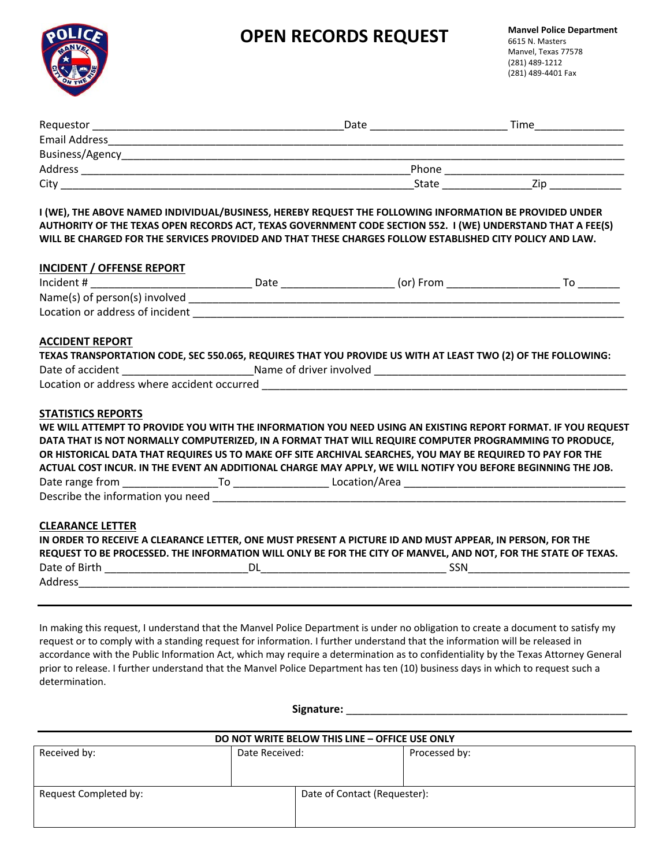# **OPEN RECORDS REQUEST** Manvel Police Department



| Requestor            | Date  | Time |
|----------------------|-------|------|
| <b>Email Address</b> |       |      |
| Business/Agency      |       |      |
| Address              | Phone |      |
| City                 | State | /ır  |

**I (WE), THE ABOVE NAMED INDIVIDUAL/BUSINESS, HEREBY REQUEST THE FOLLOWING INFORMATION BE PROVIDED UNDER AUTHORITY OF THE TEXAS OPEN RECORDS ACT, TEXAS GOVERNMENT CODE SECTION 552. I (WE) UNDERSTAND THAT A FEE(S) WILL BE CHARGED FOR THE SERVICES PROVIDED AND THAT THESE CHARGES FOLLOW ESTABLISHED CITY POLICY AND LAW.** 

| <b>INCIDENT / OFFENSE REPORT</b> |                                                                                                                                                                                                                                                                                                                                                                                                                                                      |  |
|----------------------------------|------------------------------------------------------------------------------------------------------------------------------------------------------------------------------------------------------------------------------------------------------------------------------------------------------------------------------------------------------------------------------------------------------------------------------------------------------|--|
|                                  |                                                                                                                                                                                                                                                                                                                                                                                                                                                      |  |
|                                  |                                                                                                                                                                                                                                                                                                                                                                                                                                                      |  |
|                                  |                                                                                                                                                                                                                                                                                                                                                                                                                                                      |  |
| <b>ACCIDENT REPORT</b>           |                                                                                                                                                                                                                                                                                                                                                                                                                                                      |  |
|                                  | TEXAS TRANSPORTATION CODE, SEC 550.065, REQUIRES THAT YOU PROVIDE US WITH AT LEAST TWO (2) OF THE FOLLOWING:                                                                                                                                                                                                                                                                                                                                         |  |
|                                  |                                                                                                                                                                                                                                                                                                                                                                                                                                                      |  |
|                                  |                                                                                                                                                                                                                                                                                                                                                                                                                                                      |  |
|                                  | WE WILL ATTEMPT TO PROVIDE YOU WITH THE INFORMATION YOU NEED USING AN EXISTING REPORT FORMAT. IF YOU REQUEST<br>DATA THAT IS NOT NORMALLY COMPUTERIZED, IN A FORMAT THAT WILL REQUIRE COMPUTER PROGRAMMING TO PRODUCE,<br>OR HISTORICAL DATA THAT REQUIRES US TO MAKE OFF SITE ARCHIVAL SEARCHES, YOU MAY BE REQUIRED TO PAY FOR THE<br>ACTUAL COST INCUR. IN THE EVENT AN ADDITIONAL CHARGE MAY APPLY, WE WILL NOTIFY YOU BEFORE BEGINNING THE JOB. |  |
|                                  |                                                                                                                                                                                                                                                                                                                                                                                                                                                      |  |
| <b>CLEARANCE LETTER</b>          | IN ORDER TO RECEIVE A CLEARANCE LETTER, ONE MUST PRESENT A PICTURE ID AND MUST APPEAR, IN PERSON, FOR THE<br>REQUEST TO BE PROCESSED. THE INFORMATION WILL ONLY BE FOR THE CITY OF MANVEL, AND NOT, FOR THE STATE OF TEXAS.                                                                                                                                                                                                                          |  |
|                                  |                                                                                                                                                                                                                                                                                                                                                                                                                                                      |  |

In making this request, I understand that the Manvel Police Department is under no obligation to create a document to satisfy my request or to comply with a standing request for information. I further understand that the information will be released in accordance with the Public Information Act, which may require a determination as to confidentiality by the Texas Attorney General prior to release. I further understand that the Manvel Police Department has ten (10) business days in which to request such a determination.

 **Signature:** \_\_\_\_\_\_\_\_\_\_\_\_\_\_\_\_\_\_\_\_\_\_\_\_\_\_\_\_\_\_\_\_\_\_\_\_\_\_\_\_\_\_\_\_\_\_\_

| DO NOT WRITE BELOW THIS LINE - OFFICE USE ONLY |                |                              |               |  |
|------------------------------------------------|----------------|------------------------------|---------------|--|
| Received by:                                   | Date Received: |                              | Processed by: |  |
| Request Completed by:                          |                | Date of Contact (Requester): |               |  |